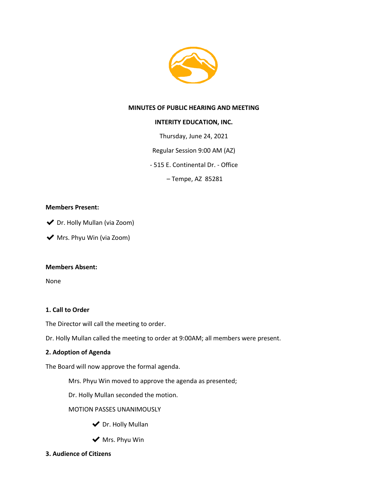

## **MINUTES OF PUBLIC HEARING AND MEETING**

## **INTERITY EDUCATION, INC.**

Thursday, June 24, 2021

Regular Session 9:00 AM (AZ)

- 515 E. Continental Dr. - Office

– Tempe, AZ 85281

## **Members Present:**

◆ Dr. Holly Mullan (via Zoom)

◆ Mrs. Phyu Win (via Zoom)

## **Members Absent:**

None

## **1. Call to Order**

The Director will call the meeting to order.

Dr. Holly Mullan called the meeting to order at 9:00AM; all members were present.

## **2. Adoption of Agenda**

The Board will now approve the formal agenda.

Mrs. Phyu Win moved to approve the agenda as presented;

Dr. Holly Mullan seconded the motion.

MOTION PASSES UNANIMOUSLY

- ◆ Dr. Holly Mullan
- $\blacktriangleright$  Mrs. Phyu Win
- **3. Audience of Citizens**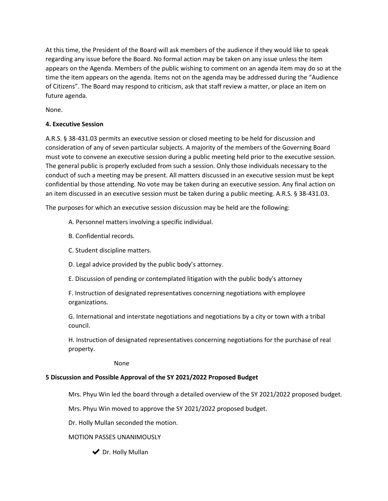At this time, the President of the Board will ask members of the audience if they would like to speak regarding any issue before the Board. No formal action may be taken on any issue unless the item appears on the Agenda. Members of the public wishing to comment on an agenda item may do so at the time the item appears on the agenda. Items not on the agenda may be addressed during the "Audience of Citizens". The Board may respond to criticism, ask that staff review a matter, or place an item on future agenda.

None.

# **4. Executive Session**

A.R.S. § 38-431.03 permits an executive session or closed meeting to be held for discussion and consideration of any of seven particular subjects. A majority of the members of the Governing Board must vote to convene an executive session during a public meeting held prior to the executive session. The general public is properly excluded from such a session. Only those individuals necessary to the conduct of such a meeting may be present. All matters discussed in an executive session must be kept confidential by those attending. No vote may be taken during an executive session. Any final action on an item discussed in an executive session must be taken during a public meeting. A.R.S. § 38-431.03.

The purposes for which an executive session discussion may be held are the following:

- A. Personnel matters involving a specific individual.
- B. Confidential records.
- C. Student discipline matters.
- D. Legal advice provided by the public body's attorney.
- E. Discussion of pending or contemplated litigation with the public body's attorney

F. Instruction of designated representatives concerning negotiations with employee organizations.

G. International and interstate negotiations and negotiations by a city or town with a tribal council.

H. Instruction of designated representatives concerning negotiations for the purchase of real property.

None

# **5 Discussion and Possible Approval of the SY 2021/2022 Proposed Budget**

Mrs. Phyu Win led the board through a detailed overview of the SY 2021/2022 proposed budget.

Mrs. Phyu Win moved to approve the SY 2021/2022 proposed budget.

Dr. Holly Mullan seconded the motion.

- MOTION PASSES UNANIMOUSLY
	- ◆ Dr. Holly Mullan